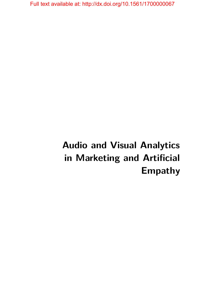# **Audio and Visual Analytics in Marketing and Artificial Empathy**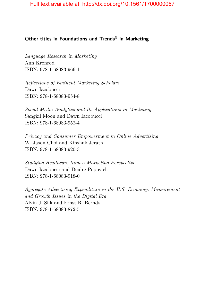# **Other titles in Foundations and Trends® in Marketing**

*Language Research in Marketing* Ann Kronrod ISBN: 978-1-68083-966-1

*Reflections of Eminent Marketing Scholars* Dawn Iacobucci ISBN: 978-1-68083-954-8

*Social Media Analytics and Its Applications in Marketing* Sangkil Moon and Dawn Iacobucci ISBN: 978-1-68083-952-4

*Privacy and Consumer Empowerment in Online Advertising* W. Jason Choi and Kinshuk Jerath ISBN: 978-1-68083-920-3

*Studying Healthcare from a Marketing Perspective* Dawn Iacobucci and Deidre Popovich ISBN: 978-1-68083-918-0

*Aggregate Advertising Expenditure in the U.S. Economy: Measurement and Growth Issues in the Digital Era* Alvin J. Silk and Ernst R. Berndt ISBN: 978-1-68083-872-5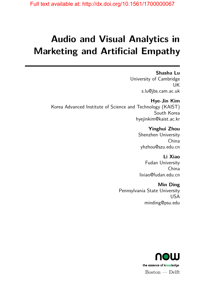# **Audio and Visual Analytics in Marketing and Artificial Empathy**

**Shasha Lu** University of Cambridge UK s.lu@jbs.cam.ac.uk

**Hye-Jin Kim** Korea Advanced Institute of Science and Technology (KAIST) South Korea hyejinkim@kaist.ac.kr

> **Yinghui Zhou** Shenzhen University China yhzhou@szu.edu.cn

**Li Xiao** Fudan University China lixiao@fudan.edu.cn

**Min Ding** Pennsylvania State University USA minding@psu.edu

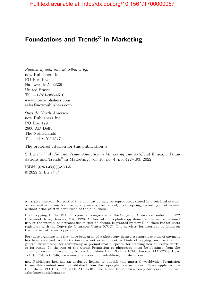# **Foundations and Trends® in Marketing**

*Published, sold and distributed by:* now Publishers Inc. PO Box 1024 Hanover, MA 02339 United States Tel. +1-781-985-4510 www.nowpublishers.com sales@nowpublishers.com

*Outside North America:* now Publishers Inc. PO Box 179 2600 AD Delft The Netherlands Tel. +31-6-51115274

The preferred citation for this publication is

S. Lu *et al*.. *Audio and Visual Analytics in Marketing and Artificial Empathy*. Foundations and Trends<sup>®</sup> in Marketing, vol. 16, no. 4, pp. 422–493, 2022.

ISBN: 978-1-68083-971-5 © 2022 S. Lu *et al*.

All rights reserved. No part of this publication may be reproduced, stored in a retrieval system, or transmitted in any form or by any means, mechanical, photocopying, recording or otherwise, without prior written permission of the publishers.

Photocopying. In the USA: This journal is registered at the Copyright Clearance Center, Inc., 222 Rosewood Drive, Danvers, MA 01923. Authorization to photocopy items for internal or personal use, or the internal or personal use of specific clients, is granted by now Publishers Inc for users registered with the Copyright Clearance Center (CCC). The 'services' for users can be found on the internet at: www.copyright.com

For those organizations that have been granted a photocopy license, a separate system of payment has been arranged. Authorization does not extend to other kinds of copying, such as that for general distribution, for advertising or promotional purposes, for creating new collective works, or for resale. In the rest of the world: Permission to photocopy must be obtained from the copyright owner. Please apply to now Publishers Inc., PO Box 1024, Hanover, MA 02339, USA; Tel. +1 781 871 0245; www.nowpublishers.com; sales@nowpublishers.com

now Publishers Inc. has an exclusive license to publish this material worldwide. Permission to use this content must be obtained from the copyright license holder. Please apply to now Publishers, PO Box 179, 2600 AD Delft, The Netherlands, www.nowpublishers.com; e-mail: sales@nowpublishers.com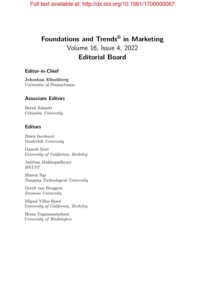# **Foundations and Trends® in Marketing** Volume 16, Issue 4, 2022 **Editorial Board**

#### **Editor-in-Chief**

**Jehoshua Eliashberg** University of Pennsylvania

#### **Associate Editors**

Bernd Schmitt *Columbia University*

#### **Editors**

Dawn Iacobucci *Vanderbilt University*

Ganesh Iyeri *University of California, Berkeley*

Anirban Mukhopadhyayi *HKUST*

Sharon Ngi *Nanyang Technological University*

Gerrit van Bruggeni *Erasmus University*

Miguel Villas Boasi *University of California, Berkeley*

Hema Yoganarasimhani *University of Washington*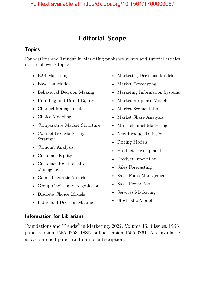# **Editorial Scope**

## **Topics**

Foundations and Trends<sup>®</sup> in Marketing publishes survey and tutorial articles in the following topics:

- B2B Marketing
- Bayesian Models
- Behavioral Decision Making
- Branding and Brand Equity
- Channel Management
- Choice Modeling
- Comparative Market Structure
- Competitive Marketing Strategy
- Conjoint Analysis
- Customer Equity
- Customer Relationship Management
- Game Theoretic Models
- Group Choice and Negotiation
- Discrete Choice Models
- Individual Decision Making
- Marketing Decisions Models
- Market Forecasting
- Marketing Information Systems
- Market Response Models
- Market Segmentation
- Market Share Analysis
- Multi-channel Marketing
- New Product Diffusion
- Pricing Models
- Product Development
- Product Innovation
- Sales Forecasting
- Sales Force Management
- Sales Promotion
- Services Marketing
- Stochastic Model

#### **Information for Librarians**

Foundations and Trends® in Marketing, 2022, Volume 16, 4 issues. ISSN paper version 1555-0753. ISSN online version 1555-0761. Also available as a combined paper and online subscription.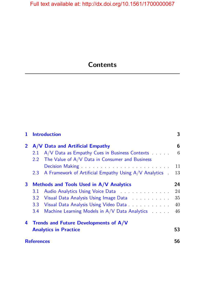# **Contents**

| 1            | <b>Introduction</b>                     |                                                                     | 3  |
|--------------|-----------------------------------------|---------------------------------------------------------------------|----|
| $\mathbf{2}$ |                                         | A/V Data and Artificial Empathy                                     | 6  |
|              |                                         | 2.1 A/V Data as Empathy Cues in Business Contexts                   | 6  |
|              |                                         | 2.2 The Value of A/V Data in Consumer and Business                  |    |
|              |                                         |                                                                     | 11 |
|              |                                         | 2.3 A Framework of Artificial Empathy Using A/V Analytics .         | 13 |
| 3            | Methods and Tools Used in A/V Analytics |                                                                     | 24 |
|              | 3.1                                     | Audio Analytics Using Voice Data                                    | 24 |
|              |                                         | 3.2 Visual Data Analysis Using Image Data Analysis Using Image Data | 35 |
|              |                                         |                                                                     | 40 |
|              |                                         | 3.4 Machine Learning Models in A/V Data Analytics                   | 46 |
|              | 4 Trends and Future Developments of A/V |                                                                     |    |
|              | <b>Analytics in Practice</b>            |                                                                     | 53 |
|              | <b>References</b>                       |                                                                     |    |
|              |                                         |                                                                     |    |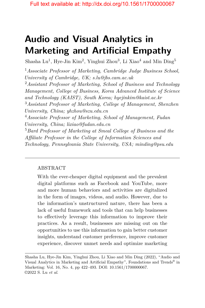# **Audio and Visual Analytics in Marketing and Artificial Empathy**

Shasha Lu<sup>1</sup>, Hye-Jin Kim<sup>2</sup>, Yinghui Zhou<sup>3</sup>, Li Xiao<sup>4</sup> and Min Ding<sup>5</sup>

<sup>1</sup>*Associate Professor of Marketing, Cambridge Judge Business School, University of Cambridge, UK; s.lu@jbs.cam.ac.uk*

<sup>2</sup>*Assistant Professor of Marketing, School of Business and Technology Management, College of Business, Korea Advanced Institute of Science and Technology (KAIST), South Korea; hyejinkim@kaist.ac.kr*

<sup>3</sup>*Assistant Professor of Marketing, College of Management, Shenzhen University, China; yhzhou@szu.edu.cn*

<sup>4</sup>*Associate Professor of Marketing, School of Management, Fudan University, China; lixiao@fudan.edu.cn*

<sup>5</sup>*Bard Professor of Marketing at Smeal College of Business and the Affiliate Professor in the College of Information Sciences and Technology, Pennsylvania State University, USA; minding@psu.edu*

# ABSTRACT

With the ever-cheaper digital equipment and the prevalent digital platforms such as Facebook and YouTube, more and more human behaviors and activities are digitalized in the form of images, videos, and audio. However, due to the information's unstructured nature, there has been a lack of useful framework and tools that can help businesses to effectively leverage this information to improve their practices. As a result, businesses are missing out on the opportunities to use this information to gain better customer insights, understand customer preference, improve customer experience, discover unmet needs and optimize marketing

Shasha Lu, Hye-Jin Kim, Yinghui Zhou, Li Xiao and Min Ding (2022), "Audio and Visual Analytics in Marketing and Artificial Empathy", Foundations and Trends<sup>®</sup> in Marketing: Vol. 16, No. 4, pp 422–493. DOI: 10.1561/1700000067. ©2022 S. Lu *et al*.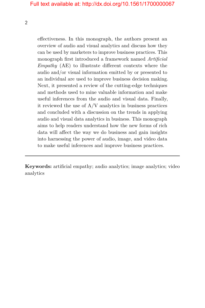effectiveness. In this monograph, the authors present an overview of audio and visual analytics and discuss how they can be used by marketers to improve business practices. This monograph first introduced a framework named *Artificial Empathy* (AE) to illustrate different contexts where the audio and/or visual information emitted by or presented to an individual are used to improve business decision making. Next, it presented a review of the cutting-edge techniques and methods used to mine valuable information and make useful inferences from the audio and visual data. Finally, it reviewed the use of  $A/V$  analytics in business practices and concluded with a discussion on the trends in applying audio and visual data analytics in business. This monograph aims to help readers understand how the new forms of rich data will affect the way we do business and gain insights into harnessing the power of audio, image, and video data to make useful inferences and improve business practices.

**Keywords:** artificial empathy; audio analytics; image analytics; video analytics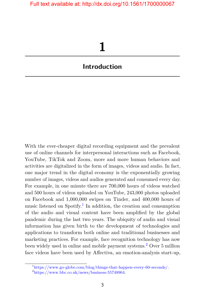# **1**

# <span id="page-9-0"></span>**Introduction**

With the ever-cheaper digital recording equipment and the prevalent use of online channels for interpersonal interactions such as Facebook, YouTube, TikTok and Zoom, more and more human behaviors and activities are digitalized in the form of images, videos and audio. In fact, one major trend in the digital economy is the exponentially growing number of images, videos and audios generated and consumed every day. For example, in one minute there are 700,000 hours of videos watched and 500 hours of videos uploaded on YouTube, 243,000 photos uploaded on Facebook and 1,000,000 swipes on Tinder, and 400,000 hours of music listened on Spotify.<sup>[1](#page-9-1)</sup> In addition, the creation and consumption of the audio and visual content have been amplified by the global pandemic during the last two years. The ubiquity of audio and visual information has given birth to the development of technologies and applications to transform both online and traditional businesses and marketing practices. For example, face recognition technology has now been widely used in online and mobile payment systems.[2](#page-9-2) Over 5 million face videos have been used by Affectiva, an emotion-analysis start-up,

<span id="page-9-1"></span><sup>1</sup>[https://www.go-globe.com/blog/things-that-happen-every-60-seconds/.](https://www.go-globe.com/blog/things-that-happen-every-60-seconds/)

<span id="page-9-2"></span><sup>2</sup>[https://www.bbc.co.uk/news/business-55748964.](https://www.bbc.co.uk/news/business-55748964)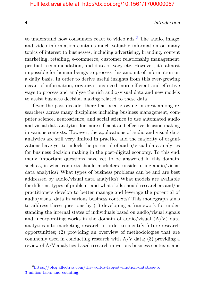#### 4 Introduction

to understand how consumers react to video  $ads<sup>3</sup>$  $ads<sup>3</sup>$  $ads<sup>3</sup>$ . The audio, image, and video information contains much valuable information on many topics of interest to businesses, including advertising, branding, content marketing, retailing, e-commerce, customer relationship management, product recommendation, and data privacy etc. However, it's almost impossible for human beings to process this amount of information on a daily basis. In order to derive useful insights from this ever-growing ocean of information, organizations need more efficient and effective ways to process and analyze the rich audio/visual data and new models to assist business decision making related to these data.

Over the past decade, there has been growing interest among researchers across many disciplines including business management, computer science, neuroscience, and social science to use automated audio and visual data analytics for more efficient and effective decision making in various contexts. However, the applications of audio and visual data analytics are still very limited in practice and the majority of organizations have yet to unlock the potential of audio/visual data analytics for business decision making in the post-digital economy. To this end, many important questions have yet to be answered in this domain, such as, in what contexts should marketers consider using audio/visual data analytics? What types of business problems can be and are best addressed by audio/visual data analytics? What models are available for different types of problems and what skills should researchers and/or practitioners develop to better manage and leverage the potential of audio/visual data in various business contexts? This monograph aims to address these questions by (1) developing a framework for understanding the internal states of individuals based on audio/visual signals and incorporating works in the domain of audio/visual  $(A/V)$  data analytics into marketing research in order to identify future research opportunities; (2) providing an overview of methodologies that are commonly used in conducting research with  $A/V$  data; (3) providing a review of A/V analytics-based research in various business contexts; and

<span id="page-10-0"></span><sup>3</sup>[https://blog.affectiva.com/the-worlds-largest-emotion-database-5.](https://blog.affectiva.com/the-worlds-largest-emotion-database-5.3-million-faces-and-counting) [3-million-faces-and-counting.](https://blog.affectiva.com/the-worlds-largest-emotion-database-5.3-million-faces-and-counting)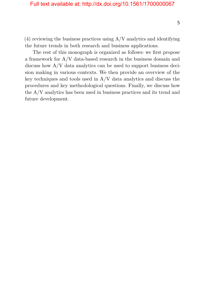$(4)$  reviewing the business practices using  $A/V$  analytics and identifying the future trends in both research and business applications.

The rest of this monograph is organized as follows: we first propose a framework for A/V data-based research in the business domain and discuss how A/V data analytics can be used to support business decision making in various contexts. We then provide an overview of the key techniques and tools used in  $A/V$  data analytics and discuss the procedures and key methodological questions. Finally, we discuss how the A/V analytics has been used in business practices and its trend and future development.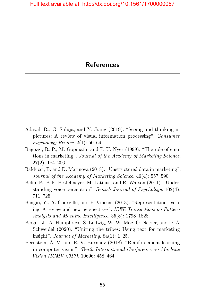- <span id="page-12-0"></span>Adaval, R., G. Saluja, and Y. Jiang (2019). "Seeing and thinking in pictures: A review of visual information processing". *Consumer Psychology Review*. 2(1): 50–69.
- Bagozzi, R. P., M. Gopinath, and P. U. Nyer (1999). "The role of emotions in marketing". *Journal of the Academy of Marketing Science*. 27(2): 184–206.
- Balducci, B. and D. Marinova (2018). "Unstructured data in marketing". *Journal of the Academy of Marketing Science*. 46(4): 557–590.
- Belin, P., P. E. Bestelmeyer, M. Latinus, and R. Watson (2011). "Understanding voice perception". *British Journal of Psychology*. 102(4): 711–725.
- Bengio, Y., A. Courville, and P. Vincent (2013). "Representation learning: A review and new perspectives". *IEEE Transactions on Pattern Analysis and Machine Intelligence*. 35(8): 1798–1828.
- Berger, J., A. Humphreys, S. Ludwig, W. W. Moe, O. Netzer, and D. A. Schweidel (2020). "Uniting the tribes: Using text for marketing insight". *Journal of Marketing*. 84(1): 1–25.
- Bernstein, A. V. and E. V. Burnaev (2018). "Reinforcement learning in computer vision". *Tenth International Conference on Machine Vision (ICMV 2017)*. 10696: 458–464.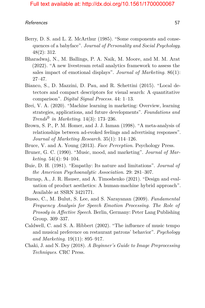- Berry, D. S. and L. Z. McArthur (1985). "Some components and consequences of a babyface". *Journal of Personality and Social Psychology*. 48(2): 312.
- Bharadwaj, N., M. Ballings, P. A. Naik, M. Moore, and M. M. Arat (2022). "A new livestream retail analytics framework to assess the sales impact of emotional displays". *Journal of Marketing*. 86(1): 27–47.
- Bianco, S., D. Mazzini, D. Pau, and R. Schettini (2015). "Local detectors and compact descriptors for visual search: A quantitative comparison". *Digital Signal Process.* 44: 1–13.
- Brei, V. A. (2020). "Machine learning in marketing: Overview, learning strategies, applications, and future developments". *Foundations and Trends® in Marketing*. 14(3): 173–236.
- Brown, S. P., P. M. Homer, and J. J. Inman (1998). "A meta-analysis of relationships between ad-evoked feelings and advertising responses". *Journal of Marketing Research*. 35(1): 114–126.
- Bruce, V. and A. Young (2013). *Face Perception*. Psychology Press.
- Bruner, G. C. (1990). "Music, mood, and marketing". *Journal of Marketing*. 54(4): 94–104.
- Buie, D. H. (1981). "Empathy: Its nature and limitations". *Journal of the American Psychoanalytic Association*. 29: 281–307.
- Burnap, A., J. R. Hauser, and A. Timoshenko (2021). "Design and evaluation of product aesthetics: A human-machine hybrid approach". Available at SSRN 3421771.
- Busso, C., M. Bulut, S. Lee, and S. Narayanan (2009). *Fundamental Frequency Analysis for Speech Emotion Processing. The Role of Prosody in Affective Speech*. Berlin, Germany: Peter Lang Publishing Group. 309–337.
- Caldwell, C. and S. A. Hibbert (2002). "The influence of music tempo and musical preference on restaurant patrons' behavior". *Psychology and Marketing*. 19(11): 895–917.
- Chaki, J. and N. Dey (2018). *A Beginner's Guide to Image Preprocessing Techniques*. CRC Press.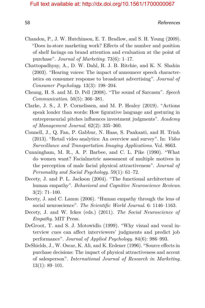- Chandon, P., J. W. Hutchinson, E. T. Bradlow, and S. H. Young (2009). "Does in-store marketing work? Effects of the number and position of shelf facings on brand attention and evaluation at the point of purchase". *Journal of Marketing*. 73(6): 1–17.
- Chattopadhyay, A., D. W. Dahl, R. J. B. Ritchie, and K. N. Shahin (2003). "Hearing voices: The impact of announcer speech characteristics on consumer response to broadcast advertising". *Journal of Consumer Psychology*. 13(3): 198–204.
- Cheang, H. S. and M. D. Pell (2008). "The sound of Sarcasm". *Speech Communication*. 50(5): 366–381.
- Clarke, J. S., J. P. Cornelissen, and M. P. Healey (2019). "Actions speak louder than words: How figurative language and gesturing in entrepreneurial pitches influences investment judgments". *Academy of Management Journal*. 62(2): 335–360.
- Connell, J., Q. Fan, P. Gabbur, N. Haas, S. Pankanti, and H. Trinh (2013). "Retail video analytics: An overview and survey". In: *Video Surveillance and Transportation Imaging Applications*. Vol. 8663.
- Cunningham, M. R., A. P. Barbee, and C. L. Pike (1990). "What do women want? Facialmetric assessment of multiple motives in the perception of male facial physical attractiveness". *Journal of Personality and Social Psychology*. 59(1): 61–72.
- Decety, J. and P. L. Jackson (2004). "The functional architecture of human empathy". *Behavioral and Cognitive Neuroscience Reviews*. 3(2): 71–100.
- Decety, J. and C. Lamm (2006). "Human empathy through the lens of social neuroscience". *The Scientific World Journal*. 6: 1146–1163.
- Decety, J. and W. Ickes (eds.) (2011). *The Social Neuroscience of Empathy*. MIT Press.
- DeGroot, T. and S. J. Motowidlo (1999). "Why visual and vocal interview cues can affect interviewers' judgments and predict job performance". *Journal of Applied Psychology*. 84(6): 986–993.
- DeShields, J., W. Oscar, K. Ali, and K. Erdener (1996). "Source effects in purchase decisions: The impact of physical attractiveness and accent of salesperson". *International Journal of Research in Marketing*. 13(1): 89–101.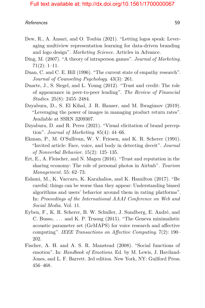- Dew, R., A. Ansari, and O. Toubia (2021). "Letting logos speak: Leveraging multiview representation learning for data-driven branding and logo design". *Marketing Science.* Articles in Advance.
- Ding, M. (2007). "A theory of intraperson games". *Journal of Marketing*. 71(2): 1–11.
- Duan, C. and C. E. Hill (1996). "The current state of empathy research". *Journal of Counseling Psychology*. 43(3): 261.
- Duarte, J., S. Siegel, and L. Young (2012). "Trust and credit: The role of appearance in peer-to-peer lending". *The Review of Financial Studies*. 25(8): 2455–2484.
- Dzyabura, D., S. El Kihal, J. R. Hauser, and M. Ibragimov (2019). "Leveraging the power of images in managing product return rates". Available at SSRN 3209307.
- Dzyabura, D. and R. Peres (2021). "Visual elicitation of brand perception". *Journal of Marketing*. 85(4): 44–66.
- Ekman, P., M. O'Sullivan, W. V. Friesen, and K. R. Scherer (1991). "Invited article: Face, voice, and body in detecting deceit". *Journal of Nonverbal Behavior*. 15(2): 125–135.
- Ert, E., A. Fleischer, and N. Magen (2016). "Trust and reputation in the sharing economy: The role of personal photos in Airbnb". *Tourism Management*. 55: 62–73.
- Eslami, M., K. Vaccaro, K. Karahalios, and K. Hamilton (2017). "Be careful; things can be worse than they appear: Understanding biased algorithms and users' behavior around them in rating platforms". In: *Proceedings of the International AAAI Conference on Web and Social Media*. Vol. 11.
- Eyben, F., K. R. Scherer, B. W. Schuller, J. Sundberg, E. André, and C. Busso, *. . .* and K. P. Truong (2015). "The Geneva minimalistic acoustic parameter set (GeMAPS) for voice research and affective computing". *IEEE Transactions on Affective Computing*. 7(2): 190– 202.
- Fischer, A. H. and A. S. R. Manstead (2008). "Social functions of emotion". In: *Handbook of Emotions*. Ed. by M. Lewis, J. Haviland-Jones, and L. F. Barrett. 3rd edition. New York, NY: Guilford Press. 456–468.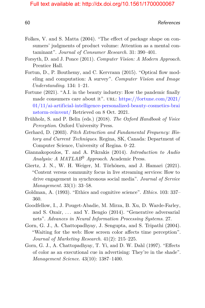- Folkes, V. and S. Matta (2004). "The effect of package shape on consumers' judgments of product volume: Attention as a mental contaminant". *Journal of Consumer Research*. 31: 390–401.
- Forsyth, D. and J. Ponce (2011). *Computer Vision: A Modern Approach*. Prentice Hall.
- Fortun, D., P. Bouthemy, and C. Kervrann (2015). "Optical flow modeling and computation: A survey". *Computer Vision and Image Understanding*. 134: 1–21.
- Fortune (2021). "A.I. in the beauty industry: How the pandemic finally made consumers care about it". URL: [https://fortune.com/2021/](https://fortune.com/2021/01/11/ai-artificial-intelligence-personalized-beauty-cosmetics-brainstorm-reinvent/) [01/11/ai-artificial-intelligence-personalized-beauty-cosmetics-brai](https://fortune.com/2021/01/11/ai-artificial-intelligence-personalized-beauty-cosmetics-brainstorm-reinvent/) [nstorm-reinvent/](https://fortune.com/2021/01/11/ai-artificial-intelligence-personalized-beauty-cosmetics-brainstorm-reinvent/) Retrieved on 8 Oct. 2021.
- Frühholz, S. and P. Belin (eds.) (2018). *The Oxford Handbook of Voice Perception*. Oxford University Press.
- Gerhard, D. (2003). *Pitch Extraction and Fundamental Frequency: History and Current Techniques*. Regina, SK, Canada: Department of Computer Science, University of Regina. 0–22.
- Giannakopoulos, T. and A. Pikrakis (2014). *Introduction to Audio Analysis: A MATLAB® Approach*. Academic Press.
- Giertz, J. N., W. H. Weiger, M. Törhönen, and J. Hamari (2021). "Content versus community focus in live streaming services: How to drive engagement in synchronous social media". *Journal of Service Management*. 33(1): 33–58.
- Goldman, A. (1993). "Ethics and cognitive science". *Ethics*. 103: 337– 360.
- Goodfellow, I., J. Pouget-Abadie, M. Mirza, B. Xu, D. Warde-Farley, and S. Ozair, *. . .* and Y. Bengio (2014). "Generative adversarial nets". *Advances in Neural Information Processing Systems*. 27.
- Gorn, G. J., A. Chattopadhyay, J. Sengupta, and S. Tripathi (2004). "Waiting for the web: How screen color affects time perception". *Journal of Marketing Research*. 41(2): 215–225.
- Gorn, G. J., A. Chattopadhyay, T. Yi, and D. W. Dahl (1997). "Effects of color as an executional cue in advertising: They're in the shade". *Management Science*. 43(10): 1387–1400.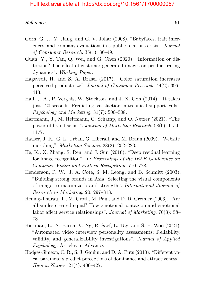- Gorn, G. J., Y. Jiang, and G. V. Johar (2008). "Babyfaces, trait inferences, and company evaluations in a public relations crisis". *Journal of Consumer Research*. 35(1): 36–49.
- Guan, Y., Y. Tan, Q. Wei, and G. Chen (2020). "Information or distortion? The effect of customer generated images on product rating dynamics". *Working Paper*.
- Hagtvedt, H. and S. A. Brasel (2017). "Color saturation increases perceived product size". *Journal of Consumer Research*. 44(2): 396– 413.
- Hall, J. A., P. Verghis, W. Stockton, and J. X. Goh (2014). "It takes just 120 seconds: Predicting satisfaction in technical support calls". *Psychology and Marketing*. 31(7): 500–508.
- Hartmann, J., M. Heitmann, C. Schamp, and O. Netzer (2021). "The power of brand selfies". *Journal of Marketing Research*. 58(6): 1159– 1177.
- Hauser, J. R., G. L. Urban, G. Liberali, and M. Braun (2009). "Website morphing". *Marketing Science*. 28(2): 202–223.
- He, K., X. Zhang, S. Ren, and J. Sun (2016). "Deep residual learning for image recognition". In: *Proceedings of the IEEE Conference on Computer Vision and Pattern Recognition*. 770–778.
- Henderson, P. W., J. A. Cote, S. M. Leong, and B. Schmitt (2003). "Building strong brands in Asia: Selecting the visual components of image to maximize brand strength". *International Journal of Research in Marketing*. 20: 297–313.
- Hennig-Thurau, T., M. Groth, M. Paul, and D. D. Gremler (2006). "Are all smiles created equal? How emotional contagion and emotional labor affect service relationships". *Journal of Marketing*. 70(3): 58– 73.
- Hickman, L., N. Bosch, V. Ng, R. Saef, L. Tay, and S. E. Woo (2021). "Automated video interview personality assessments: Reliability, validity, and generalizability investigations". *Journal of Applied Psychology.* Articles in Advance.
- Hodges-Simeon, C. R., S. J. Gaulin, and D. A. Puts (2010). "Different vocal parameters predict perceptions of dominance and attractiveness". *Human Nature*. 21(4): 406–427.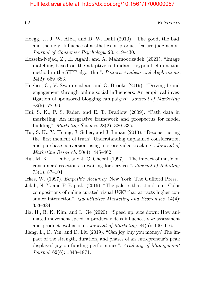- Hoegg, J., J. W. Alba, and D. W. Dahl (2010). "The good, the bad, and the ugly: Influence of aesthetics on product feature judgments". *Journal of Consumer Psychology*. 20: 419–430.
- Hossein-Nejad, Z., H. Agahi, and A. Mahmoodzadeh (2021). "Image matching based on the adaptive redundant keypoint elimination method in the SIFT algorithm". *Pattern Analysis and Applications*. 24(2): 669–683.
- Hughes, C., V. Swaminathan, and G. Brooks (2019). "Driving brand engagement through online social influencers: An empirical investigation of sponsored blogging campaigns". *Journal of Marketing*. 83(5): 78–96.
- Hui, S. K., P. S. Fader, and E. T. Bradlow (2009). "Path data in marketing: An integrative framework and prospectus for model building". *Marketing Science*. 28(2): 320–335.
- Hui, S. K., Y. Huang, J. Suher, and J. Inman (2013). "Deconstructing the 'first moment of truth': Understanding unplanned consideration and purchase conversion using in-store video tracking". *Journal of Marketing Research*. 50(4): 445–462.
- Hul, M. K., L. Dube, and J. C. Chebat (1997). "The impact of music on consumers' reactions to waiting for services". *Journal of Retailing*. 73(1): 87–104.
- Ickes, W. (1997). *Empathic Accuracy*. New York: The Guilford Press.
- Jalali, N. Y. and P. Papatla (2016). "The palette that stands out: Color compositions of online curated visual UGC that attracts higher consumer interaction". *Quantitative Marketing and Economics*. 14(4): 353–384.
- Jia, H., B. K. Kim, and L. Ge (2020). "Speed up, size down: How animated movement speed in product videos influences size assessment and product evaluation". *Journal of Marketing*. 84(5): 100–116.
- Jiang, L., D. Yin, and D. Liu (2019). "Can joy buy you money? The impact of the strength, duration, and phases of an entrepreneur's peak displayed joy on funding performance". *Academy of Management Journal*. 62(6): 1848–1871.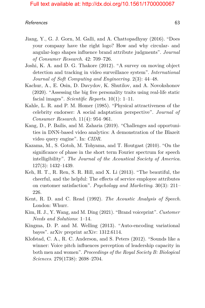- Jiang, Y., G. J. Gorn, M. Galli, and A. Chattopadhyay (2016). "Does your company have the right logo? How and why circular- and angular-logo shapes influence brand attribute judgments". *Journal of Consumer Research*. 42: 709–726.
- Joshi, K. A. and D. G. Thakore (2012). "A survey on moving object detection and tracking in video surveillance system". *International Journal of Soft Computing and Engineering*. 2(3): 44–48.
- Kachur, A., E. Osin, D. Davydov, K. Shutilov, and A. Novokshonov (2020). "Assessing the big five personality traits using real-life static facial images". *Scientific Reports*. 10(1): 1–11.
- Kahle, L. R. and P. M. Homer (1985). "Physical attractiveness of the celebrity endorser: A social adaptation perspective". *Journal of Consumer Research*. 11(4): 954–961.
- Kang, D., P. Bailis, and M. Zaharia (2019). "Challenges and opportunities in DNN-based video analytics: A demonstration of the Blazeit video query engine". In: *CIDR*.
- Kazama, M., S. Gotoh, M. Tohyama, and T. Houtgast (2010). "On the significance of phase in the short term Fourier spectrum for speech intelligibility". *The Journal of the Acoustical Society of America*. 127(3): 1432–1439.
- Keh, H. T., R. Ren, S. R. Hill, and X. Li (2013). "The beautiful, the cheerful, and the helpful: The effects of service employee attributes on customer satisfaction". *Psychology and Marketing*. 30(3): 211– 226.
- Kent, R. D. and C. Read (1992). *The Acoustic Analysis of Speech*. London: Whurr.
- Kim, H. J., Y. Wang, and M. Ding (2021). "Brand voiceprint". *Customer Needs and Solutions*: 1–14.
- Kingma, D. P. and M. Welling (2013). "Auto-encoding variational bayes". arXiv preprint arXiv: 1312.6114.
- Klofstad, C. A., R. C. Anderson, and S. Peters (2012). "Sounds like a winner: Voice pitch influences perception of leadership capacity in both men and women". *Proceedings of the Royal Society B: Biological Sciences*. 279(1738): 2698–2704.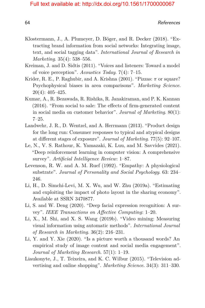- Klostermann, J., A. Plumeyer, D. Böger, and R. Decker (2018). "Extracting brand information from social networks: Integrating image, text, and social tagging data". *International Journal of Research in Marketing*. 35(4): 538–556.
- Kreiman, J. and D. Sidtis (2011). "Voices and listeners: Toward a model of voice perception". *Acoustics Today*. 7(4): 7–15.
- Krider, R. E., P. Raghubir, and A. Krishna (2001). "Pizzas: *π* or square? Psychophysical biases in area comparisons". *Marketing Science*. 20(4): 405–425.
- Kumar, A., R. Bezawada, R. Rishika, R. Janakiraman, and P. K. Kannan (2016). "From social to sale: The effects of firm-generated content in social media on customer behavior". *Journal of Marketing*. 80(1): 7–25.
- Landwehr, J. R., D. Wentzel, and A. Herrmann (2013). "Product design for the long run: Consumer responses to typical and atypical designs at different stages of exposure". *Journal of Marketing*. 77(5): 92–107.
- Le, N., V. S. Rathour, K. Yamazaki, K. Luu, and M. Savvides (2021). "Deep reinforcement learning in computer vision: A comprehensive survey". *Artificial Intelligence Review*: 1–87.
- Levenson, R. W. and A. M. Ruef (1992). "Empathy: A physiological substrate". *Journal of Personality and Social Psychology*. 63: 234– 246.
- Li, H., D. Simchi-Levi, M. X. Wu, and W. Zhu (2019a). "Estimating and exploiting the impact of photo layout in the sharing economy". Available at SSRN 3470877.
- Li, S. and W. Deng (2020). "Deep facial expression recognition: A survey". *IEEE Transactions on Affective Computing*: 1–20.
- Li, X., M. Shi, and X. S. Wang (2019b). "Video mining: Measuring visual information using automatic methods". *International Journal of Research in Marketing*. 36(2): 216–231.
- Li, Y. and Y. Xie (2020). "Is a picture worth a thousand words? An empirical study of image content and social media engagement". *Journal of Marketing Research*. 57(1): 1–19.
- Liaukonyte, J., T. Teixeira, and K. C. Wilbur (2015). "Television advertising and online shopping". *Marketing Science*. 34(3): 311–330.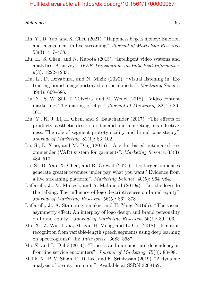- Lin, Y., D. Yao, and X. Chen (2021). "Happiness begets money: Emotion and engagement in live streaming". *Journal of Marketing Research*. 58(3): 417–438.
- Liu, H., S. Chen, and N. Kubota (2013). "Intelligent video systems and analytics: A survey". *IEEE Transactions on Industrial Informatics*. 9(3): 1222–1233.
- Liu, L., D. Dzyabura, and N. Mizik (2020). "Visual listening in: Extracting brand image portrayed on social media". *Marketing Science*. 39(4): 669–686.
- Liu, X., S. W. Shi, T. Teixeira, and M. Wedel (2018). "Video content marketing: The making of clips". *Journal of Marketing*. 82(4): 86– 101.
- Liu, Y., K. J. Li, H. Chen, and S. Balachander (2017). "The effects of products' aesthetic design on demand and marketing-mix effectiveness: The role of segment prototypicality and brand consistency". *Journal of Marketing*. 81(1): 83–102.
- Lu, S., L. Xiao, and M. Ding (2016). "A video-based automated recommender (VAR) system for garments". *Marketing Science*. 35(3): 484–510.
- Lu, S., D. Yao, X. Chen, and R. Grewal (2021). "Do larger audiences generate greater revenues under pay what you want? Evidence from a live streaming platform". *Marketing Science*. 40(5): 964–984.
- Luffarelli, J., M. Mukesh, and A. Mahmood (2019a). "Let the logo do the talking: The influence of logo descriptiveness on brand equity". *Journal of Marketing Research*. 56(5): 862–878.
- Luffarelli, J., A. Stamatogiannakis, and H. Yang (2019b). "The visual asymmetry effect: An interplay of logo design and brand personality on brand equity". *Journal of Marketing Research*. 56(1): 89–103.
- Ma, X., Z. Wu, J. Jia, M. Xu, H. Meng, and L. Cai (2018). "Emotion recognition from variable-length speech segments using deep learning on spectrograms". In: *Interspeech*. 3683–3687.
- Ma, Z. and L. Dubé (2011). "Process and outcome interdependency in frontline service encounters". *Journal of Marketing*. 75(3): 83–98.
- Malik, N., P. V. Singh, D. D. Lee, and K. Srinivasan (2019). "A dynamic analysis of beauty premium". Available at SSRN 3208162.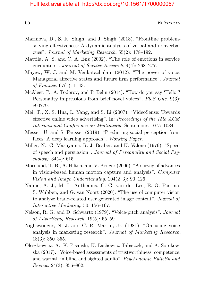- Marinova, D., S. K. Singh, and J. Singh (2018). "Frontline problemsolving effectiveness: A dynamic analysis of verbal and nonverbal cues". *Journal of Marketing Research*. 55(2): 178–192.
- Mattila, A. S. and C. A. Enz (2002). "The role of emotions in service encounters". *Journal of Service Research*. 4(4): 268–277.
- Mayew, W. J. and M. Venkatachalam (2012). "The power of voice: Managerial affective states and future firm performance". *Journal of Finance*. 67(1): 1–43.
- McAleer, P., A. Todorov, and P. Belin (2014). "How do you say 'Hello'? Personality impressions from brief novel voices". *PloS One*. 9(3): e90779.
- Mei, T., X. S. Hua, L. Yang, and S. Li (2007). "VideoSense: Towards effective online video advertising". In: *Proceedings of the 15th ACM International Conference on Multimedia*. September. 1075–1084.
- Messer, U. and S. Fausser (2019). "Predicting social perception from faces: A deep learning approach". *Working Paper*.
- Miller, N., G. Maruyama, R. J. Beaber, and K. Valone (1976). "Speed of speech and persuasion". *Journal of Personality and Social Psychology*. 34(4): 615.
- Moeslund, T. B., A. Hilton, and V. Krüger (2006). "A survey of advances in vision-based human motion capture and analysis". *Computer Vision and Image Understanding*. 104(2–3): 90–126.
- Nanne, A. J., M. L. Antheunis, C. G. van der Lee, E. O. Postma, S. Wubben, and G. van Noort (2020). "The use of computer vision to analyze brand-related user generated image content". *Journal of Interactive Marketing*. 50: 156–167.
- Nelson, R. G. and D. Schwartz (1979). "Voice-pitch analysis". *Journal of Advertising Research*. 19(5): 55–59.
- Nighswonger, N. J. and C. R. Martin, Jr. (1981). "On using voice analysis in marketing research". *Journal of Marketing Research*. 18(3): 350–355.
- Oleszkiewicz, A., K. Pisanski, K. Lachowicz-Tabaczek, and A. Sorokowska (2017). "Voice-based assessments of trustworthiness, competence, and warmth in blind and sighted adults". *Psychonomic Bulletin and Review*. 24(3): 856–862.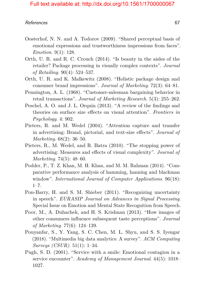- Oosterhof, N. N. and A. Todorov (2009). "Shared perceptual basis of emotional expressions and trustworthiness impressions from faces". *Emotion*. 9(1): 128.
- Orth, U. R. and R. C. Crouch (2014). "Is beauty in the aisles of the retailer? Package processing in visually complex contexts". *Journal of Retailing*. 90(4): 524–537.
- Orth, U. R. and K. Malkewitz (2008). "Holistic package design and consumer brand impressions". *Journal of Marketing*. 72(3): 64–81.
- Pennington, A. L. (1968). "Customer-salesman bargaining behavior in retail transactions". *Journal of Marketing Research*. 5(3): 255–262.
- Peschel, A. O. and J. L. Orquin (2013). "A review of the findings and theories on surface size effects on visual attention". *Frontiers in Psychology*. 4: 902.
- Pieters, R. and M. Wedel (2004). "Attention capture and transfer in advertising: Brand, pictorial, and text-size effects". *Journal of Marketing*. 68(2): 36–50.
- Pieters, R., M. Wedel, and R. Batra (2010). "The stopping power of advertising: Measures and effects of visual complexity". *Journal of Marketing*. 74(5): 48–60.
- Podder, P., T. Z. Khan, M. H. Khan, and M. M. Rahman (2014). "Comparative performance analysis of hamming, hanning and blackman window". *International Journal of Computer Applications*. 96(18):  $1 - 7$ .
- Pon-Barry, H. and S. M. Shieber (2011). "Recognizing uncertainty in speech". *EURASIP Journal on Advances in Signal Processing*. Special Issue on Emotion and Mental State Recognition from Speech.
- Poor, M., A. Duhachek, and H. S. Krishnan (2013). "How images of other consumers influence subsequent taste perceptions". *Journal of Marketing*. 77(6): 124–139.
- Pouyanfar, S., Y. Yang, S. C. Chen, M. L. Shyu, and S. S. Iyengar (2018). "Multimedia big data analytics: A survey". *ACM Computing Surveys (CSUR)*. 51(1): 1–34.
- Pugh, S. D. (2001). "Service with a smile: Emotional contagion in a service encounter". *Academy of Management Journal*. 44(5): 1018– 1027.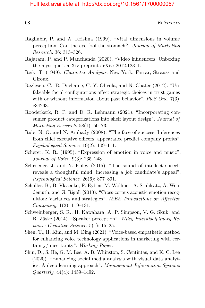- Raghubir, P. and A. Krishna (1999). "Vital dimensions in volume perception: Can the eye fool the stomach?" *Journal of Marketing Research*. 36: 313–326.
- Rajaram, P. and P. Manchanda (2020). "Video influencers: Unboxing the mystique". arXiv preprint arXiv: 2012.12311.
- Reik, T. (1949). *Character Analysis*. New-York: Farrar, Strauss and Giroux.
- Rezlescu, C., B. Duchaine, C. Y. Olivola, and N. Chater (2012). "Unfakeable facial configurations affect strategic choices in trust games with or without information about past behavior". *PloS One*. 7(3): e34293.
- Rooderkerk, R. P. and D. R. Lehmann (2021). "Incorporating consumer product categorizations into shelf layout design". *Journal of Marketing Research*. 58(1): 50–73.
- Rule, N. O. and N. Ambady (2008). "The face of success: Inferences from chief executive officers' appearance predict company profits". *Psychological Science*. 19(2): 109–111.
- Scherer, K. R. (1995). "Expression of emotion in voice and music". *Journal of Voice*. 9(3): 235–248.
- Schroeder, J. and N. Epley (2015). "The sound of intellect speech reveals a thoughtful mind, increasing a job candidate's appeal". *Psychological Science*. 26(6): 877–891.
- Schuller, B., B. Vlasenko, F. Eyben, M. Wöllmer, A. Stuhlsatz, A. Wendemuth, and G. Rigoll (2010). "Cross-corpus acoustic emotion recognition: Variances and strategies". *IEEE Transactions on Affective Computing*. 1(2): 119–131.
- Schweinberger, S. R., H. Kawahara, A. P. Simpson, V. G. Skuk, and R. Zäske (2014). "Speaker perception". *Wiley Interdisciplinary Reviews: Cognitive Science*. 5(1): 15–25.
- Shen, T., H. Kim, and M. Ding (2021). "Voice-based empathetic method for enhancing voice technology applications in marketing with certainty/uncertainty". *Working Paper*.
- Shin, D., S. He, G. M. Lee, A. B. Whinston, S. Centintas, and K. C. Lee (2020). "Enhancing social media analysis with visual data analytics: A deep learning approach". *Management Information Systems Quarterly*. 44(4): 1459–1492.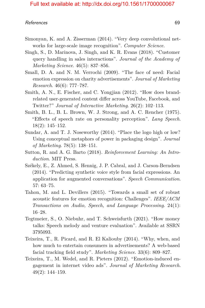- Simonyan, K. and A. Zisserman (2014). "Very deep convolutional networks for large-scale image recognition". *Computer Science*.
- Singh, S., D. Marinova, J. Singh, and K. R. Evans (2018). "Customer query handling in sales interactions". *Journal of the Academy of Marketing Science*. 46(5): 837–856.
- Small, D. A. and N. M. Verrochi (2009). "The face of need: Facial emotion expression on charity advertisements". *Journal of Marketing Research*. 46(6): 777–787.
- Smith, A. N., E. Fischer, and C. Yongjian (2012). "How does brandrelated user-generated content differ across YouTube, Facebook, and Twitter?" *Journal of Interactive Marketing*. 26(2): 102–113.
- Smith, B. L., B. L. Brown, W. J. Strong, and A. C. Rencher (1975). "Effects of speech rate on personality perception". *Lang Speech*. 18(2): 145–152.
- Sundar, A. and T. J. Noseworthy (2014). "Place the logo high or low? Using conceptual metaphors of power in packaging design". *Journal of Marketing*. 78(5): 138–151.
- Sutton, R. and A. G. Barto (2018). *Reinforcement Learning: An Introduction*. MIT Press.
- Székely, E., Z. Ahmed, S. Hennig, J. P. Cabral, and J. Carson-Berndsen (2014). "Predicting synthetic voice style from facial expressions. An application for augmented conversations". *Speech Communication*. 57: 63–75.
- Tahon, M. and L. Devillers (2015). "Towards a small set of robust acoustic features for emotion recognition: Challenges". *IEEE/ACM Transactions on Audio, Speech, and Language Processing*. 24(1): 16–28.
- Tegtmeier, S., O. Niebuhr, and T. Schweisfurth (2021). "How money talks: Speech melody and venture evaluation". Available at SSRN 3795093.
- Teixeira, T., R. Picard, and R. El Kaliouby (2014). "Why, when, and how much to entertain consumers in advertisements? A web-based facial tracking field study". *Marketing Science*. 33(6): 809–827.
- Teixeira, T., M. Wedel, and R. Pieters (2012). "Emotion-induced engagement in internet video ads". *Journal of Marketing Research*. 49(2): 144–159.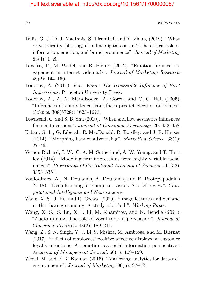- Tellis, G. J., D. J. MacInnis, S. Tirunillai, and Y. Zhang (2019). "What drives virality (sharing) of online digital content? The critical role of information, emotion, and brand prominence". *Journal of Marketing*. 83(4): 1–20.
- Texeira, T., M. Wedel, and R. Pieters (2012). "Emotion-induced engagement in internet video ads". *Journal of Marketing Research*. 49(2): 144–159.
- Todorov, A. (2017). *Face Value: The Irresistible Influence of First Impressions*. Princeton University Press.
- Todorov, A., A. N. Mandisodza, A. Goren, and C. C. Hall (2005). "Inferences of competence from faces predict election outcomes". *Science*. 308(5728): 1623–1626.
- Townsend, C. and S. B. Shu (2010). "When and how aesthetics influences financial decisions". *Journal of Consumer Psychology*. 20: 452–458.
- Urban, G. L., G. Liberali, E. MacDonald, R. Bordley, and J. R. Hauser (2014). "Morphing banner advertising". *Marketing Science*. 33(1): 27–46.
- Vernon Richard, J. W., C. A. M. Sutherland, A. W. Young, and T. Hartley (2014). "Modeling first impressions from highly variable facial images". *Proceedings of the National Academy of Sciences*. 111(32): 3353–3361.
- Voulodimos, A., N. Doulamis, A. Doulamis, and E. Protopapadakis (2018). "Deep learning for computer vision: A brief review". *Computational Intelligence and Neuroscience*.
- Wang, X. S., J. He, and R. Grewal (2020). "Image features and demand in the sharing economy: A study of airbnb". *Working Paper*.
- Wang, X. S., S. Lu, X. I. Li, M. Khamitov, and N. Bendle (2021). "Audio mining: The role of vocal tone in persuasion". *Journal of Consumer Research*. 48(2): 189–211.
- Wang, Z., S. N. Singh, Y. J. Li, S. Mishra, M. Ambrose, and M. Biernat (2017). "Effects of employees' positive affective displays on customer loyalty intentions: An emotions-as-social-information perspective". *Academy of Management Journal*. 60(1): 109–129.
- Wedel, M. and P. K. Kannan (2016). "Marketing analytics for data-rich environments". *Journal of Marketing*. 80(6): 97–121.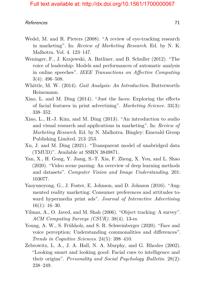- Wedel, M. and R. Pieters (2008). "A review of eye-tracking research in marketing". In: *Review of Marketing Research*. Ed. by N. K. Malhotra. Vol. 4. 123–147.
- Weninger, F., J. Krajewski, A. Batliner, and B. Schuller (2012). "The voice of leadership: Models and performances of automatic analysis in online speeches". *IEEE Transactions on Affective Computing*. 3(4): 496–508.
- Whittle, M. W. (2014). *Gait Analysis: An Introduction*. Butterworth-Heinemann.
- Xiao, L. and M. Ding (2014). "Just the faces: Exploring the effects of facial features in print advertising". *Marketing Science*. 33(3): 338–352.
- Xiao, L., H.-J. Kim, and M. Ding (2013). "An introduction to audio and visual research and applications in marketing". In: *Review of Marketing Research*. Ed. by N. Malhotra. Bingley: Emerald Group Publishing Limited. 213–253.
- Xu, J. and M. Ding (2021). "Transparent model of unabridged data (TMUD)". Available at SSRN 3849871.
- Yan, X., H. Gong, Y. Jiang, S.-T. Xia, F. Zheng, X. You, and L. Shao (2020). "Video scene parsing: An overview of deep learning methods and datasets". *Computer Vision and Image Understanding*. 201: 103077.
- Yaoyuneyong, G., J. Foster, E. Johnson, and D. Johnson (2016). "Augmented reality marketing: Consumer preferences and attitudes toward hypermedia print ads". *Journal of Interactive Advertising*.  $16(1): 16-30.$
- Yilmaz, A., O. Javed, and M. Shah (2006). "Object tracking: A survey". *ACM Computing Surveys (CSUR)*. 38(4). 13-es.
- Young, A. W., S. Frühholz, and S. R. Schweinberger (2020). "Face and voice perception: Understanding commonalities and differences". *Trends in Cognitive Sciences*. 24(5): 398–410.
- Zebrowitz, L. A., J. A. Hall, N. A. Murphy, and G. Rhodes (2002). "Looking smart and looking good: Facial cues to intelligence and their origins". *Personality and Social Psychology Bulletin*. 28(2): 238–249.